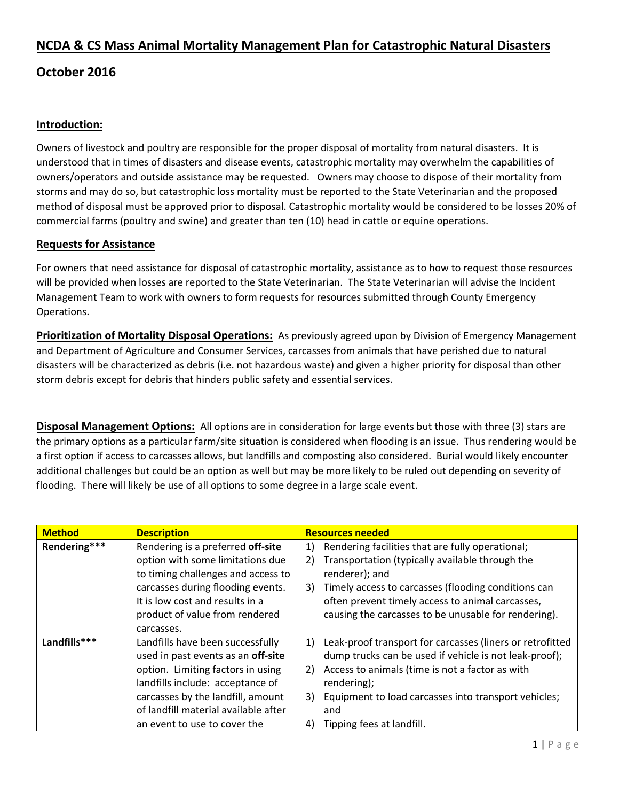## **NCDA & CS Mass Animal Mortality Management Plan for Catastrophic Natural Disasters**

## **October 2016**

#### **Introduction:**

Owners of livestock and poultry are responsible for the proper disposal of mortality from natural disasters. It is understood that in times of disasters and disease events, catastrophic mortality may overwhelm the capabilities of owners/operators and outside assistance may be requested. Owners may choose to dispose of their mortality from storms and may do so, but catastrophic loss mortality must be reported to the State Veterinarian and the proposed method of disposal must be approved prior to disposal. Catastrophic mortality would be considered to be losses 20% of commercial farms (poultry and swine) and greater than ten (10) head in cattle or equine operations.

### **Requests for Assistance**

For owners that need assistance for disposal of catastrophic mortality, assistance as to how to request those resources will be provided when losses are reported to the State Veterinarian. The State Veterinarian will advise the Incident Management Team to work with owners to form requests for resources submitted through County Emergency Operations.

**Prioritization of Mortality Disposal Operations:** As previously agreed upon by Division of Emergency Management and Department of Agriculture and Consumer Services, carcasses from animals that have perished due to natural disasters will be characterized as debris (i.e. not hazardous waste) and given a higher priority for disposal than other storm debris except for debris that hinders public safety and essential services.

**Disposal Management Options:** All options are in consideration for large events but those with three (3) stars are the primary options as a particular farm/site situation is considered when flooding is an issue. Thus rendering would be a first option if access to carcasses allows, but landfills and composting also considered. Burial would likely encounter additional challenges but could be an option as well but may be more likely to be ruled out depending on severity of flooding. There will likely be use of all options to some degree in a large scale event.

| <b>Method</b> | <b>Description</b>                   |    | <b>Resources needed</b>                                   |
|---------------|--------------------------------------|----|-----------------------------------------------------------|
| Rendering***  | Rendering is a preferred off-site    | 1) | Rendering facilities that are fully operational;          |
|               | option with some limitations due     | 2) | Transportation (typically available through the           |
|               | to timing challenges and access to   |    | renderer); and                                            |
|               | carcasses during flooding events.    | 3) | Timely access to carcasses (flooding conditions can       |
|               | It is low cost and results in a      |    | often prevent timely access to animal carcasses,          |
|               | product of value from rendered       |    | causing the carcasses to be unusable for rendering).      |
|               | carcasses.                           |    |                                                           |
| Landfills***  | Landfills have been successfully     | 1) | Leak-proof transport for carcasses (liners or retrofitted |
|               | used in past events as an off-site   |    | dump trucks can be used if vehicle is not leak-proof);    |
|               | option. Limiting factors in using    | 2) | Access to animals (time is not a factor as with           |
|               | landfills include: acceptance of     |    | rendering);                                               |
|               | carcasses by the landfill, amount    | 3) | Equipment to load carcasses into transport vehicles;      |
|               | of landfill material available after |    | and                                                       |
|               | an event to use to cover the         | 4) | Tipping fees at landfill.                                 |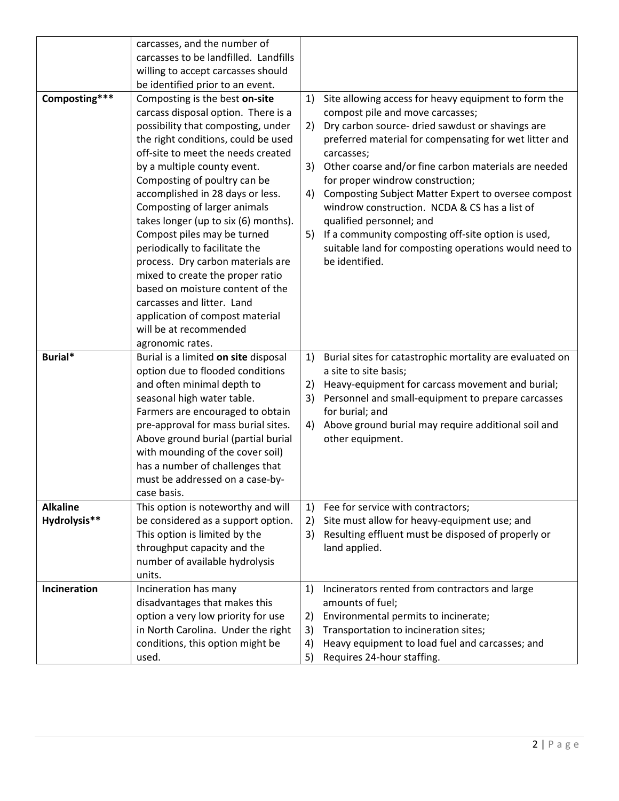|                 | carcasses, and the number of              |          |                                                                               |
|-----------------|-------------------------------------------|----------|-------------------------------------------------------------------------------|
|                 | carcasses to be landfilled. Landfills     |          |                                                                               |
|                 | willing to accept carcasses should        |          |                                                                               |
|                 | be identified prior to an event.          |          |                                                                               |
| Composting***   | Composting is the best on-site            | 1)       | Site allowing access for heavy equipment to form the                          |
|                 | carcass disposal option. There is a       |          | compost pile and move carcasses;                                              |
|                 | possibility that composting, under        | 2)       | Dry carbon source- dried sawdust or shavings are                              |
|                 | the right conditions, could be used       |          | preferred material for compensating for wet litter and                        |
|                 | off-site to meet the needs created        |          | carcasses;                                                                    |
|                 | by a multiple county event.               | 3)       | Other coarse and/or fine carbon materials are needed                          |
|                 | Composting of poultry can be              |          | for proper windrow construction;                                              |
|                 | accomplished in 28 days or less.          | 4)       | Composting Subject Matter Expert to oversee compost                           |
|                 | Composting of larger animals              |          | windrow construction. NCDA & CS has a list of                                 |
|                 | takes longer (up to six (6) months).      |          | qualified personnel; and                                                      |
|                 | Compost piles may be turned               | 5)       | If a community composting off-site option is used,                            |
|                 | periodically to facilitate the            |          | suitable land for composting operations would need to                         |
|                 | process. Dry carbon materials are         |          | be identified.                                                                |
|                 | mixed to create the proper ratio          |          |                                                                               |
|                 | based on moisture content of the          |          |                                                                               |
|                 | carcasses and litter. Land                |          |                                                                               |
|                 | application of compost material           |          |                                                                               |
|                 | will be at recommended                    |          |                                                                               |
|                 | agronomic rates.                          |          |                                                                               |
| Burial*         | Burial is a limited on site disposal      | 1)       | Burial sites for catastrophic mortality are evaluated on                      |
|                 |                                           |          |                                                                               |
|                 | option due to flooded conditions          |          | a site to site basis;                                                         |
|                 | and often minimal depth to                | 2)       | Heavy-equipment for carcass movement and burial;                              |
|                 | seasonal high water table.                | 3)       | Personnel and small-equipment to prepare carcasses                            |
|                 | Farmers are encouraged to obtain          |          | for burial; and                                                               |
|                 | pre-approval for mass burial sites.       | 4)       | Above ground burial may require additional soil and                           |
|                 | Above ground burial (partial burial       |          | other equipment.                                                              |
|                 | with mounding of the cover soil)          |          |                                                                               |
|                 | has a number of challenges that           |          |                                                                               |
|                 | must be addressed on a case-by-           |          |                                                                               |
|                 | case basis.                               |          |                                                                               |
| <b>Alkaline</b> | This option is noteworthy and will        | 1)       | Fee for service with contractors;                                             |
| Hydrolysis**    | be considered as a support option.        | 2)       | Site must allow for heavy-equipment use; and                                  |
|                 | This option is limited by the             | 3)       | Resulting effluent must be disposed of properly or                            |
|                 | throughput capacity and the               |          | land applied.                                                                 |
|                 | number of available hydrolysis            |          |                                                                               |
|                 | units.                                    |          |                                                                               |
| Incineration    | Incineration has many                     | 1)       | Incinerators rented from contractors and large                                |
|                 | disadvantages that makes this             |          | amounts of fuel;                                                              |
|                 | option a very low priority for use        | 2)       | Environmental permits to incinerate;                                          |
|                 | in North Carolina. Under the right        | 3)       | Transportation to incineration sites;                                         |
|                 | conditions, this option might be<br>used. | 4)<br>5) | Heavy equipment to load fuel and carcasses; and<br>Requires 24-hour staffing. |